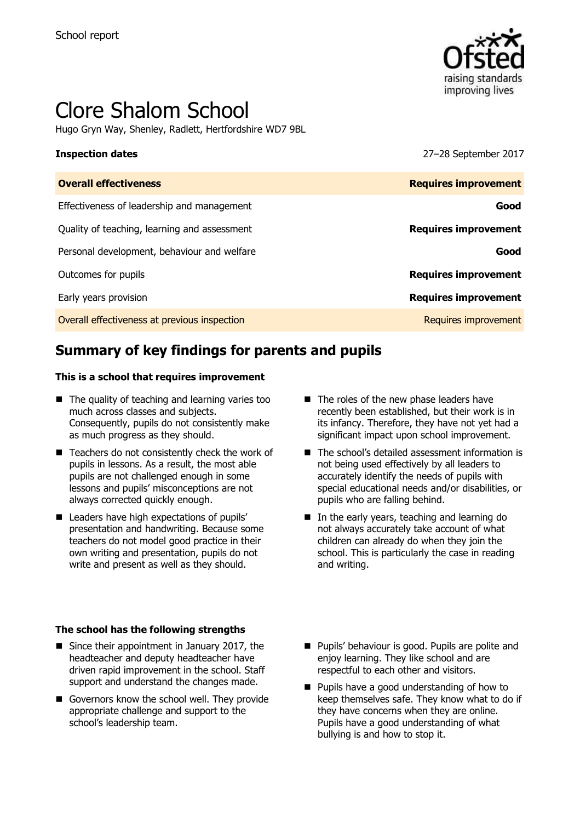

# Clore Shalom School

Hugo Gryn Way, Shenley, Radlett, Hertfordshire WD7 9BL

**Inspection dates** 27–28 September 2017

| <b>Requires improvement</b> |
|-----------------------------|
| Good                        |
| <b>Requires improvement</b> |
| Good                        |
| <b>Requires improvement</b> |
| <b>Requires improvement</b> |
| Requires improvement        |
|                             |

# **Summary of key findings for parents and pupils**

#### **This is a school that requires improvement**

- $\blacksquare$  The quality of teaching and learning varies too much across classes and subjects. Consequently, pupils do not consistently make as much progress as they should.
- $\blacksquare$  Teachers do not consistently check the work of pupils in lessons. As a result, the most able pupils are not challenged enough in some lessons and pupils' misconceptions are not always corrected quickly enough.
- Leaders have high expectations of pupils' presentation and handwriting. Because some teachers do not model good practice in their own writing and presentation, pupils do not write and present as well as they should.

#### **The school has the following strengths**

- Since their appointment in January 2017, the headteacher and deputy headteacher have driven rapid improvement in the school. Staff support and understand the changes made.
- Governors know the school well. They provide appropriate challenge and support to the school's leadership team.
- The roles of the new phase leaders have recently been established, but their work is in its infancy. Therefore, they have not yet had a significant impact upon school improvement.
- The school's detailed assessment information is not being used effectively by all leaders to accurately identify the needs of pupils with special educational needs and/or disabilities, or pupils who are falling behind.
- In the early years, teaching and learning do not always accurately take account of what children can already do when they join the school. This is particularly the case in reading and writing.
- **Pupils' behaviour is good. Pupils are polite and** enjoy learning. They like school and are respectful to each other and visitors.
- **Pupils have a good understanding of how to** keep themselves safe. They know what to do if they have concerns when they are online. Pupils have a good understanding of what bullying is and how to stop it.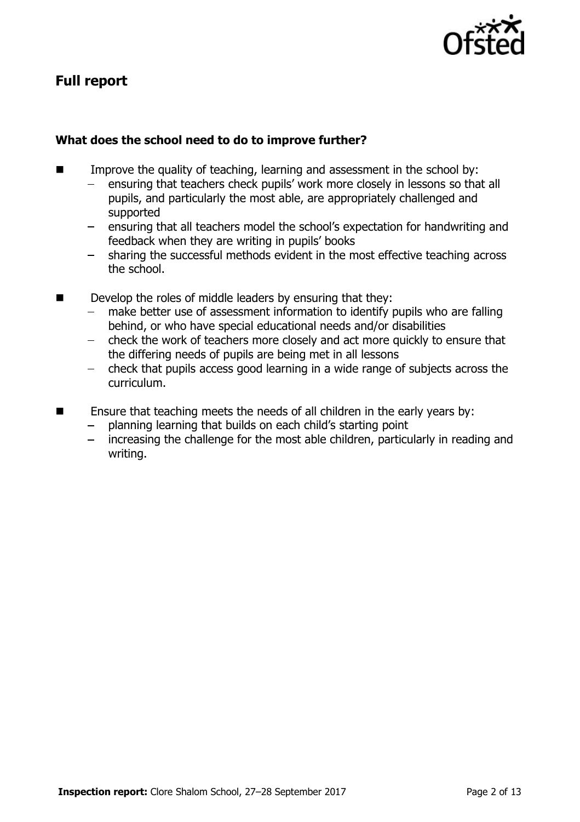

# **Full report**

### **What does the school need to do to improve further?**

- **IMPROVE THE QUALITY OF THE 19 THEORY CONSESS** Improve the quality of teaching, learning and assessment in the school by:
	- ensuring that teachers check pupils' work more closely in lessons so that all pupils, and particularly the most able, are appropriately challenged and supported
	- ensuring that all teachers model the school's expectation for handwriting and feedback when they are writing in pupils' books
	- sharing the successful methods evident in the most effective teaching across the school.
- Develop the roles of middle leaders by ensuring that they:
	- make better use of assessment information to identify pupils who are falling behind, or who have special educational needs and/or disabilities
	- check the work of teachers more closely and act more quickly to ensure that  $\frac{1}{2}$ the differing needs of pupils are being met in all lessons
	- check that pupils access good learning in a wide range of subjects across the  $\frac{1}{2}$ curriculum.
- $\blacksquare$  Ensure that teaching meets the needs of all children in the early years by:
	- planning learning that builds on each child's starting point
	- increasing the challenge for the most able children, particularly in reading and writing.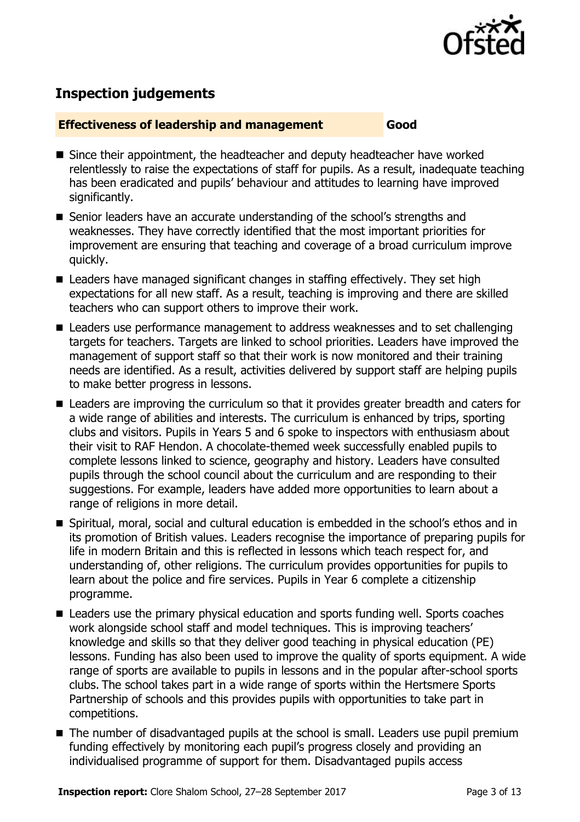

# **Inspection judgements**

#### **Effectiveness of leadership and management Good**

- Since their appointment, the headteacher and deputy headteacher have worked relentlessly to raise the expectations of staff for pupils. As a result, inadequate teaching has been eradicated and pupils' behaviour and attitudes to learning have improved significantly.
- Senior leaders have an accurate understanding of the school's strengths and weaknesses. They have correctly identified that the most important priorities for improvement are ensuring that teaching and coverage of a broad curriculum improve quickly.
- Leaders have managed significant changes in staffing effectively. They set high expectations for all new staff. As a result, teaching is improving and there are skilled teachers who can support others to improve their work.
- Leaders use performance management to address weaknesses and to set challenging targets for teachers. Targets are linked to school priorities. Leaders have improved the management of support staff so that their work is now monitored and their training needs are identified. As a result, activities delivered by support staff are helping pupils to make better progress in lessons.
- Leaders are improving the curriculum so that it provides greater breadth and caters for a wide range of abilities and interests. The curriculum is enhanced by trips, sporting clubs and visitors. Pupils in Years 5 and 6 spoke to inspectors with enthusiasm about their visit to RAF Hendon. A chocolate-themed week successfully enabled pupils to complete lessons linked to science, geography and history. Leaders have consulted pupils through the school council about the curriculum and are responding to their suggestions. For example, leaders have added more opportunities to learn about a range of religions in more detail.
- Spiritual, moral, social and cultural education is embedded in the school's ethos and in its promotion of British values. Leaders recognise the importance of preparing pupils for life in modern Britain and this is reflected in lessons which teach respect for, and understanding of, other religions. The curriculum provides opportunities for pupils to learn about the police and fire services. Pupils in Year 6 complete a citizenship programme.
- Leaders use the primary physical education and sports funding well. Sports coaches work alongside school staff and model techniques. This is improving teachers' knowledge and skills so that they deliver good teaching in physical education (PE) lessons. Funding has also been used to improve the quality of sports equipment. A wide range of sports are available to pupils in lessons and in the popular after-school sports clubs. The school takes part in a wide range of sports within the Hertsmere Sports Partnership of schools and this provides pupils with opportunities to take part in competitions.
- The number of disadvantaged pupils at the school is small. Leaders use pupil premium funding effectively by monitoring each pupil's progress closely and providing an individualised programme of support for them. Disadvantaged pupils access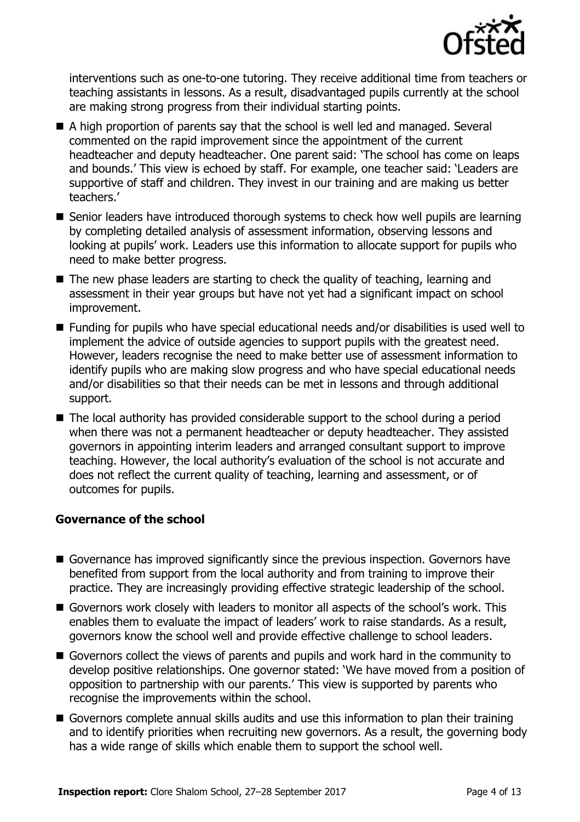

interventions such as one-to-one tutoring. They receive additional time from teachers or teaching assistants in lessons. As a result, disadvantaged pupils currently at the school are making strong progress from their individual starting points.

- A high proportion of parents say that the school is well led and managed. Several commented on the rapid improvement since the appointment of the current headteacher and deputy headteacher. One parent said: 'The school has come on leaps and bounds.' This view is echoed by staff. For example, one teacher said: 'Leaders are supportive of staff and children. They invest in our training and are making us better teachers.'
- Senior leaders have introduced thorough systems to check how well pupils are learning by completing detailed analysis of assessment information, observing lessons and looking at pupils' work. Leaders use this information to allocate support for pupils who need to make better progress.
- The new phase leaders are starting to check the quality of teaching, learning and assessment in their year groups but have not yet had a significant impact on school improvement.
- Funding for pupils who have special educational needs and/or disabilities is used well to implement the advice of outside agencies to support pupils with the greatest need. However, leaders recognise the need to make better use of assessment information to identify pupils who are making slow progress and who have special educational needs and/or disabilities so that their needs can be met in lessons and through additional support.
- The local authority has provided considerable support to the school during a period when there was not a permanent headteacher or deputy headteacher. They assisted governors in appointing interim leaders and arranged consultant support to improve teaching. However, the local authority's evaluation of the school is not accurate and does not reflect the current quality of teaching, learning and assessment, or of outcomes for pupils.

#### **Governance of the school**

- Governance has improved significantly since the previous inspection. Governors have benefited from support from the local authority and from training to improve their practice. They are increasingly providing effective strategic leadership of the school.
- Governors work closely with leaders to monitor all aspects of the school's work. This enables them to evaluate the impact of leaders' work to raise standards. As a result, governors know the school well and provide effective challenge to school leaders.
- Governors collect the views of parents and pupils and work hard in the community to develop positive relationships. One governor stated: 'We have moved from a position of opposition to partnership with our parents.' This view is supported by parents who recognise the improvements within the school.
- Governors complete annual skills audits and use this information to plan their training and to identify priorities when recruiting new governors. As a result, the governing body has a wide range of skills which enable them to support the school well.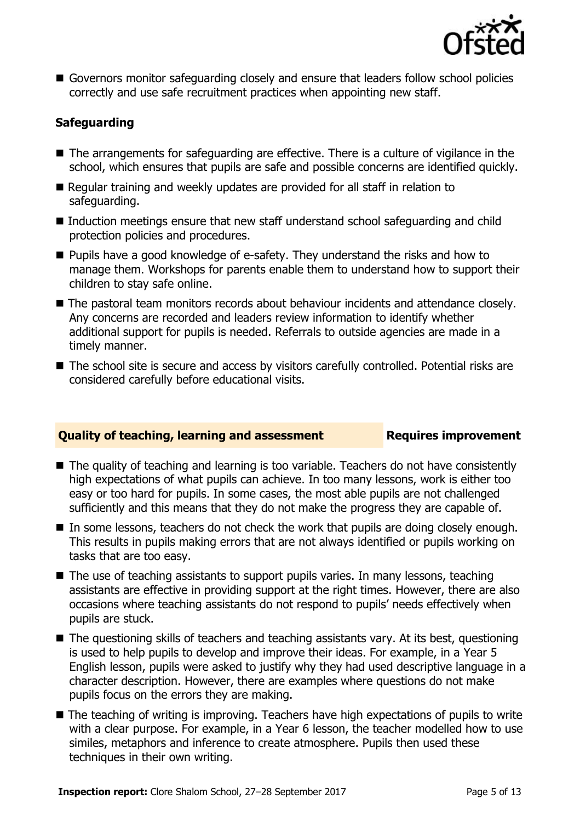

■ Governors monitor safeguarding closely and ensure that leaders follow school policies correctly and use safe recruitment practices when appointing new staff.

### **Safeguarding**

- The arrangements for safeguarding are effective. There is a culture of vigilance in the school, which ensures that pupils are safe and possible concerns are identified quickly.
- Regular training and weekly updates are provided for all staff in relation to safeguarding.
- Induction meetings ensure that new staff understand school safeguarding and child protection policies and procedures.
- Pupils have a good knowledge of e-safety. They understand the risks and how to manage them. Workshops for parents enable them to understand how to support their children to stay safe online.
- The pastoral team monitors records about behaviour incidents and attendance closely. Any concerns are recorded and leaders review information to identify whether additional support for pupils is needed. Referrals to outside agencies are made in a timely manner.
- The school site is secure and access by visitors carefully controlled. Potential risks are considered carefully before educational visits.

#### **Quality of teaching, learning and assessment Requires improvement**

- The quality of teaching and learning is too variable. Teachers do not have consistently high expectations of what pupils can achieve. In too many lessons, work is either too easy or too hard for pupils. In some cases, the most able pupils are not challenged sufficiently and this means that they do not make the progress they are capable of.
- In some lessons, teachers do not check the work that pupils are doing closely enough. This results in pupils making errors that are not always identified or pupils working on tasks that are too easy.
- $\blacksquare$  The use of teaching assistants to support pupils varies. In many lessons, teaching assistants are effective in providing support at the right times. However, there are also occasions where teaching assistants do not respond to pupils' needs effectively when pupils are stuck.
- The questioning skills of teachers and teaching assistants vary. At its best, questioning is used to help pupils to develop and improve their ideas. For example, in a Year 5 English lesson, pupils were asked to justify why they had used descriptive language in a character description. However, there are examples where questions do not make pupils focus on the errors they are making.
- $\blacksquare$  The teaching of writing is improving. Teachers have high expectations of pupils to write with a clear purpose. For example, in a Year 6 lesson, the teacher modelled how to use similes, metaphors and inference to create atmosphere. Pupils then used these techniques in their own writing.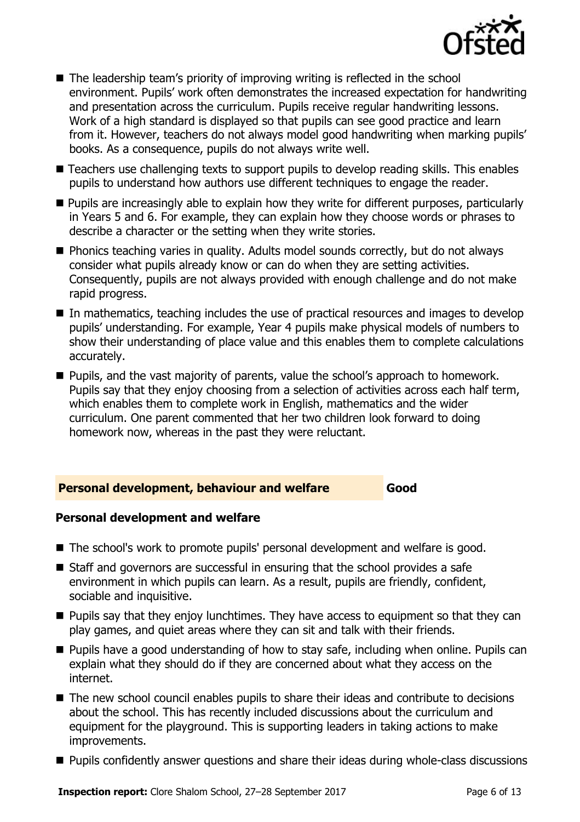

- The leadership team's priority of improving writing is reflected in the school environment. Pupils' work often demonstrates the increased expectation for handwriting and presentation across the curriculum. Pupils receive regular handwriting lessons. Work of a high standard is displayed so that pupils can see good practice and learn from it. However, teachers do not always model good handwriting when marking pupils' books. As a consequence, pupils do not always write well.
- Teachers use challenging texts to support pupils to develop reading skills. This enables pupils to understand how authors use different techniques to engage the reader.
- **Pupils are increasingly able to explain how they write for different purposes, particularly** in Years 5 and 6. For example, they can explain how they choose words or phrases to describe a character or the setting when they write stories.
- Phonics teaching varies in quality. Adults model sounds correctly, but do not always consider what pupils already know or can do when they are setting activities. Consequently, pupils are not always provided with enough challenge and do not make rapid progress.
- In mathematics, teaching includes the use of practical resources and images to develop pupils' understanding. For example, Year 4 pupils make physical models of numbers to show their understanding of place value and this enables them to complete calculations accurately.
- **Pupils, and the vast majority of parents, value the school's approach to homework.** Pupils say that they enjoy choosing from a selection of activities across each half term, which enables them to complete work in English, mathematics and the wider curriculum. One parent commented that her two children look forward to doing homework now, whereas in the past they were reluctant.

#### **Personal development, behaviour and welfare Good**

#### **Personal development and welfare**

- The school's work to promote pupils' personal development and welfare is good.
- Staff and governors are successful in ensuring that the school provides a safe environment in which pupils can learn. As a result, pupils are friendly, confident, sociable and inquisitive.
- **Pupils say that they enjoy lunchtimes. They have access to equipment so that they can** play games, and quiet areas where they can sit and talk with their friends.
- **Pupils have a good understanding of how to stay safe, including when online. Pupils can** explain what they should do if they are concerned about what they access on the internet.
- The new school council enables pupils to share their ideas and contribute to decisions about the school. This has recently included discussions about the curriculum and equipment for the playground. This is supporting leaders in taking actions to make improvements.
- **Pupils confidently answer questions and share their ideas during whole-class discussions**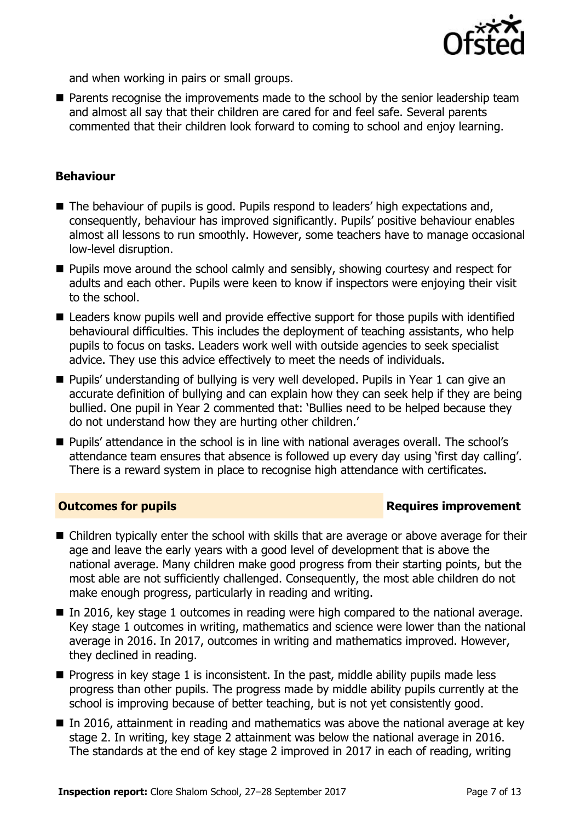

and when working in pairs or small groups.

**Parents recognise the improvements made to the school by the senior leadership team** and almost all say that their children are cared for and feel safe. Several parents commented that their children look forward to coming to school and enjoy learning.

#### **Behaviour**

- The behaviour of pupils is good. Pupils respond to leaders' high expectations and, consequently, behaviour has improved significantly. Pupils' positive behaviour enables almost all lessons to run smoothly. However, some teachers have to manage occasional low-level disruption.
- **Pupils move around the school calmly and sensibly, showing courtesy and respect for** adults and each other. Pupils were keen to know if inspectors were enjoying their visit to the school.
- Leaders know pupils well and provide effective support for those pupils with identified behavioural difficulties. This includes the deployment of teaching assistants, who help pupils to focus on tasks. Leaders work well with outside agencies to seek specialist advice. They use this advice effectively to meet the needs of individuals.
- Pupils' understanding of bullying is very well developed. Pupils in Year 1 can give an accurate definition of bullying and can explain how they can seek help if they are being bullied. One pupil in Year 2 commented that: 'Bullies need to be helped because they do not understand how they are hurting other children.'
- Pupils' attendance in the school is in line with national averages overall. The school's attendance team ensures that absence is followed up every day using 'first day calling'. There is a reward system in place to recognise high attendance with certificates.

### **Outcomes for pupils Requires improvement**

- Children typically enter the school with skills that are average or above average for their age and leave the early years with a good level of development that is above the national average. Many children make good progress from their starting points, but the most able are not sufficiently challenged. Consequently, the most able children do not make enough progress, particularly in reading and writing.
- In 2016, key stage 1 outcomes in reading were high compared to the national average. Key stage 1 outcomes in writing, mathematics and science were lower than the national average in 2016. In 2017, outcomes in writing and mathematics improved. However, they declined in reading.
- $\blacksquare$  Progress in key stage 1 is inconsistent. In the past, middle ability pupils made less progress than other pupils. The progress made by middle ability pupils currently at the school is improving because of better teaching, but is not yet consistently good.
- $\blacksquare$  In 2016, attainment in reading and mathematics was above the national average at key stage 2. In writing, key stage 2 attainment was below the national average in 2016. The standards at the end of key stage 2 improved in 2017 in each of reading, writing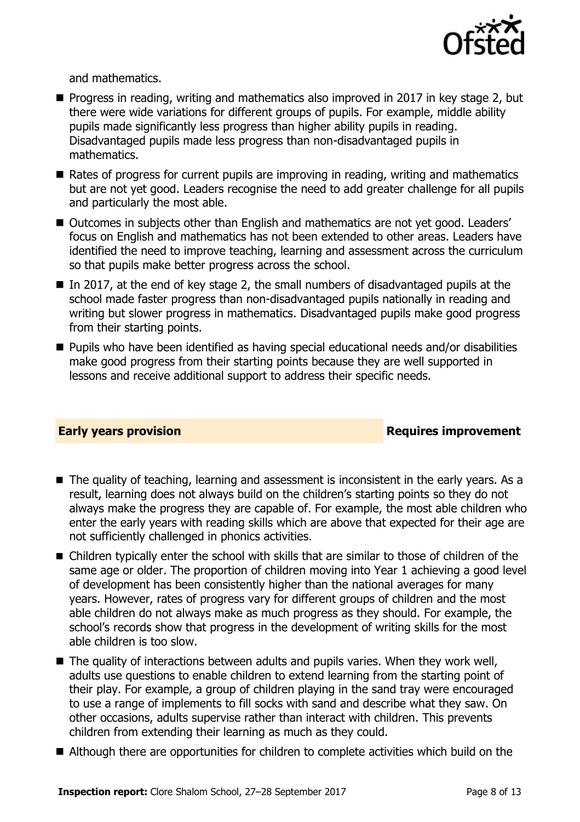

and mathematics.

- Progress in reading, writing and mathematics also improved in 2017 in key stage 2, but there were wide variations for different groups of pupils. For example, middle ability pupils made significantly less progress than higher ability pupils in reading. Disadvantaged pupils made less progress than non-disadvantaged pupils in mathematics.
- Rates of progress for current pupils are improving in reading, writing and mathematics but are not yet good. Leaders recognise the need to add greater challenge for all pupils and particularly the most able.
- Outcomes in subjects other than English and mathematics are not yet good. Leaders' focus on English and mathematics has not been extended to other areas. Leaders have identified the need to improve teaching, learning and assessment across the curriculum so that pupils make better progress across the school.
- In 2017, at the end of key stage 2, the small numbers of disadvantaged pupils at the school made faster progress than non-disadvantaged pupils nationally in reading and writing but slower progress in mathematics. Disadvantaged pupils make good progress from their starting points.
- Pupils who have been identified as having special educational needs and/or disabilities make good progress from their starting points because they are well supported in lessons and receive additional support to address their specific needs.

### **Early years provision**

- The quality of teaching, learning and assessment is inconsistent in the early years. As a result, learning does not always build on the children's starting points so they do not always make the progress they are capable of. For example, the most able children who enter the early years with reading skills which are above that expected for their age are not sufficiently challenged in phonics activities.
- Children typically enter the school with skills that are similar to those of children of the same age or older. The proportion of children moving into Year 1 achieving a good level of development has been consistently higher than the national averages for many years. However, rates of progress vary for different groups of children and the most able children do not always make as much progress as they should. For example, the school's records show that progress in the development of writing skills for the most able children is too slow.
- $\blacksquare$  The quality of interactions between adults and pupils varies. When they work well, adults use questions to enable children to extend learning from the starting point of their play. For example, a group of children playing in the sand tray were encouraged to use a range of implements to fill socks with sand and describe what they saw. On other occasions, adults supervise rather than interact with children. This prevents children from extending their learning as much as they could.
- Although there are opportunities for children to complete activities which build on the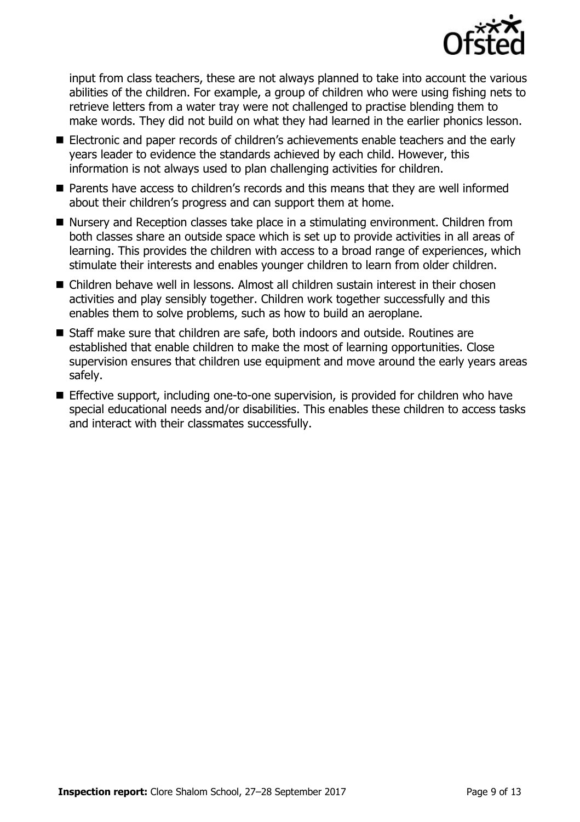

input from class teachers, these are not always planned to take into account the various abilities of the children. For example, a group of children who were using fishing nets to retrieve letters from a water tray were not challenged to practise blending them to make words. They did not build on what they had learned in the earlier phonics lesson.

- Electronic and paper records of children's achievements enable teachers and the early years leader to evidence the standards achieved by each child. However, this information is not always used to plan challenging activities for children.
- Parents have access to children's records and this means that they are well informed about their children's progress and can support them at home.
- Nursery and Reception classes take place in a stimulating environment. Children from both classes share an outside space which is set up to provide activities in all areas of learning. This provides the children with access to a broad range of experiences, which stimulate their interests and enables younger children to learn from older children.
- Children behave well in lessons. Almost all children sustain interest in their chosen activities and play sensibly together. Children work together successfully and this enables them to solve problems, such as how to build an aeroplane.
- Staff make sure that children are safe, both indoors and outside. Routines are established that enable children to make the most of learning opportunities. Close supervision ensures that children use equipment and move around the early years areas safely.
- **Effective support, including one-to-one supervision, is provided for children who have** special educational needs and/or disabilities. This enables these children to access tasks and interact with their classmates successfully.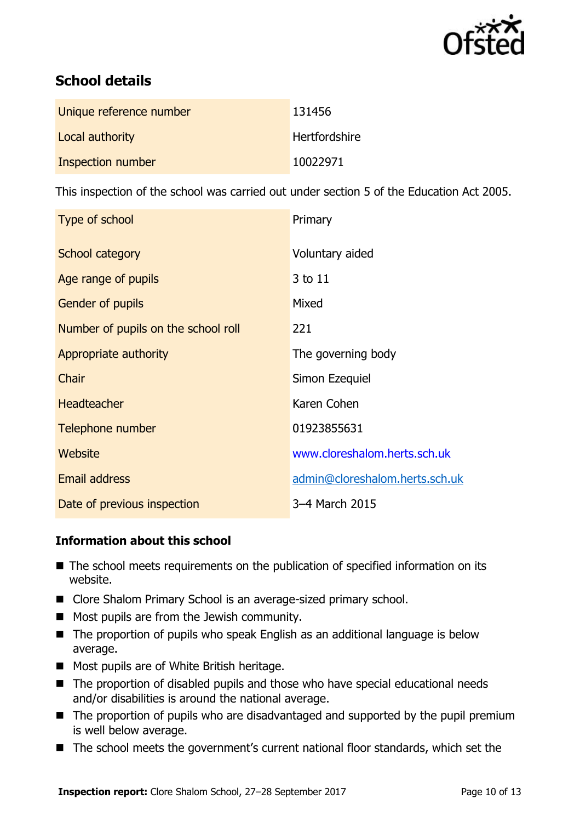

# **School details**

| Unique reference number | 131456        |
|-------------------------|---------------|
| Local authority         | Hertfordshire |
| Inspection number       | 10022971      |

This inspection of the school was carried out under section 5 of the Education Act 2005.

| Type of school                      | Primary                        |
|-------------------------------------|--------------------------------|
| School category                     | Voluntary aided                |
| Age range of pupils                 | 3 to 11                        |
| Gender of pupils                    | Mixed                          |
| Number of pupils on the school roll | 221                            |
| Appropriate authority               | The governing body             |
| Chair                               | Simon Ezequiel                 |
| <b>Headteacher</b>                  | Karen Cohen                    |
| Telephone number                    | 01923855631                    |
| Website                             | www.cloreshalom.herts.sch.uk   |
| <b>Email address</b>                | admin@cloreshalom.herts.sch.uk |
| Date of previous inspection         | 3-4 March 2015                 |

### **Information about this school**

- The school meets requirements on the publication of specified information on its website.
- Clore Shalom Primary School is an average-sized primary school.
- **Most pupils are from the Jewish community.**
- The proportion of pupils who speak English as an additional language is below average.
- Most pupils are of White British heritage.
- The proportion of disabled pupils and those who have special educational needs and/or disabilities is around the national average.
- The proportion of pupils who are disadvantaged and supported by the pupil premium is well below average.
- The school meets the government's current national floor standards, which set the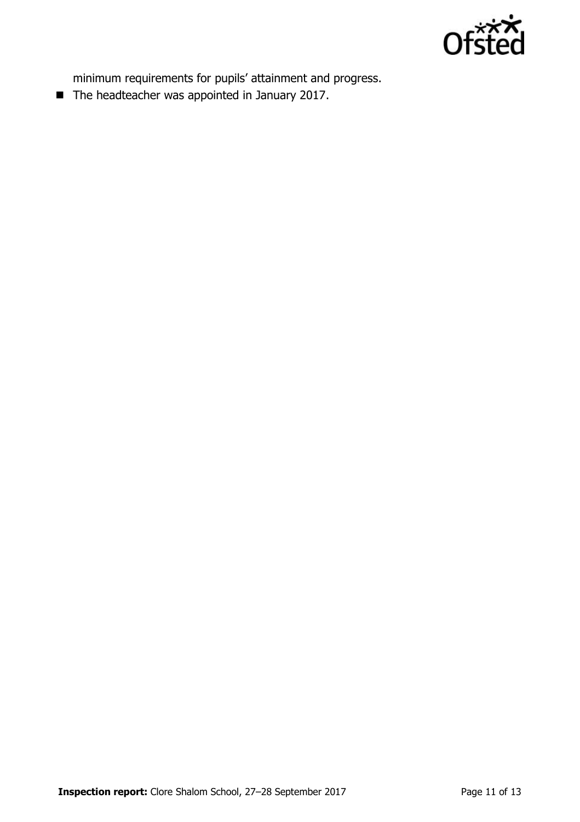

minimum requirements for pupils' attainment and progress.

■ The headteacher was appointed in January 2017.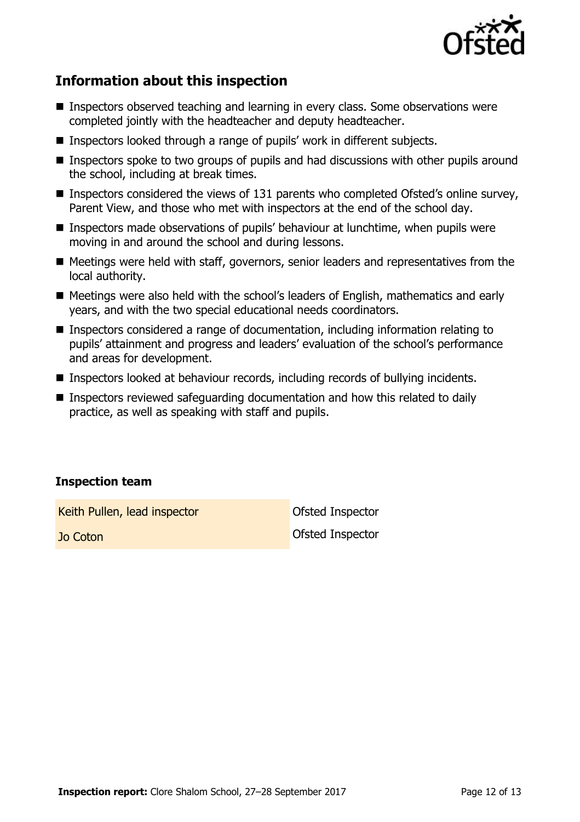

# **Information about this inspection**

- Inspectors observed teaching and learning in every class. Some observations were completed jointly with the headteacher and deputy headteacher.
- Inspectors looked through a range of pupils' work in different subjects.
- **Inspectors spoke to two groups of pupils and had discussions with other pupils around** the school, including at break times.
- Inspectors considered the views of 131 parents who completed Ofsted's online survey, Parent View, and those who met with inspectors at the end of the school day.
- Inspectors made observations of pupils' behaviour at lunchtime, when pupils were moving in and around the school and during lessons.
- Meetings were held with staff, governors, senior leaders and representatives from the local authority.
- Meetings were also held with the school's leaders of English, mathematics and early years, and with the two special educational needs coordinators.
- Inspectors considered a range of documentation, including information relating to pupils' attainment and progress and leaders' evaluation of the school's performance and areas for development.
- Inspectors looked at behaviour records, including records of bullying incidents.
- Inspectors reviewed safeguarding documentation and how this related to daily practice, as well as speaking with staff and pupils.

### **Inspection team**

Keith Pullen, lead inspector **Constanting Constanting Constanting Constanting Constanting Constanting Constanting Constanting Constanting Constanting Constanting Constanting Constanting Constanting Constanting Constanting** 

**Jo Coton Coton Contract Contract Contract Contract Contract Contract Contract Contract Contract Contract Contract Contract Contract Contract Contract Contract Contract Contract Contract Contract Contract Contract Contract**